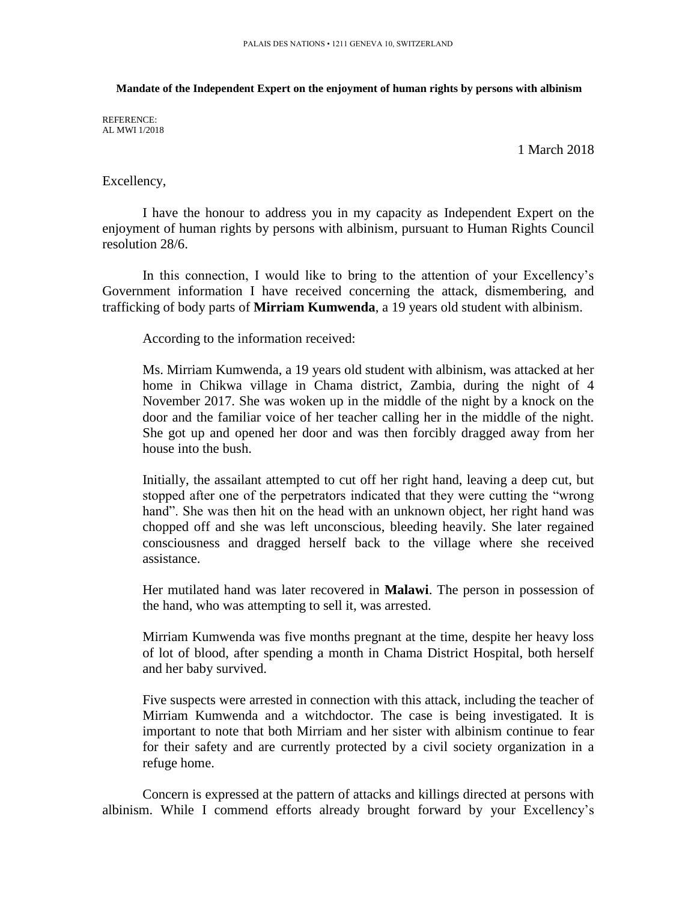## **Mandate of the Independent Expert on the enjoyment of human rights by persons with albinism**

REFERENCE: AL MWI 1/2018

1 March 2018

## Excellency,

I have the honour to address you in my capacity as Independent Expert on the enjoyment of human rights by persons with albinism, pursuant to Human Rights Council resolution 28/6.

In this connection, I would like to bring to the attention of your Excellency's Government information I have received concerning the attack, dismembering, and trafficking of body parts of **Mirriam Kumwenda**, a 19 years old student with albinism.

According to the information received:

Ms. Mirriam Kumwenda, a 19 years old student with albinism, was attacked at her home in Chikwa village in Chama district, Zambia, during the night of 4 November 2017. She was woken up in the middle of the night by a knock on the door and the familiar voice of her teacher calling her in the middle of the night. She got up and opened her door and was then forcibly dragged away from her house into the bush.

Initially, the assailant attempted to cut off her right hand, leaving a deep cut, but stopped after one of the perpetrators indicated that they were cutting the "wrong hand". She was then hit on the head with an unknown object, her right hand was chopped off and she was left unconscious, bleeding heavily. She later regained consciousness and dragged herself back to the village where she received assistance.

Her mutilated hand was later recovered in **Malawi**. The person in possession of the hand, who was attempting to sell it, was arrested.

Mirriam Kumwenda was five months pregnant at the time, despite her heavy loss of lot of blood, after spending a month in Chama District Hospital, both herself and her baby survived.

Five suspects were arrested in connection with this attack, including the teacher of Mirriam Kumwenda and a witchdoctor. The case is being investigated. It is important to note that both Mirriam and her sister with albinism continue to fear for their safety and are currently protected by a civil society organization in a refuge home.

Concern is expressed at the pattern of attacks and killings directed at persons with albinism. While I commend efforts already brought forward by your Excellency's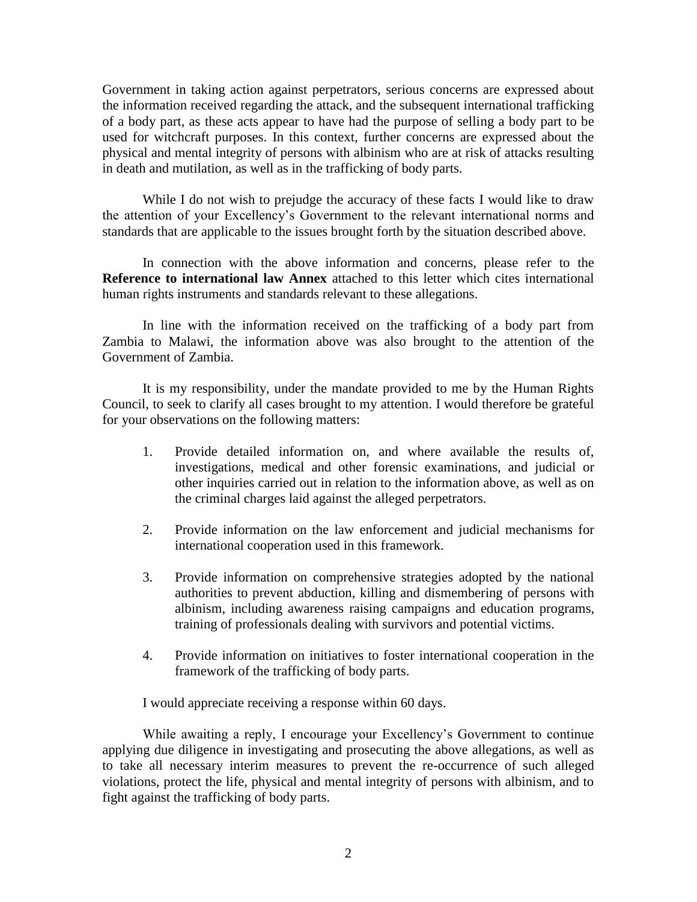Government in taking action against perpetrators, serious concerns are expressed about the information received regarding the attack, and the subsequent international trafficking of a body part, as these acts appear to have had the purpose of selling a body part to be used for witchcraft purposes. In this context, further concerns are expressed about the physical and mental integrity of persons with albinism who are at risk of attacks resulting in death and mutilation, as well as in the trafficking of body parts.

While I do not wish to prejudge the accuracy of these facts I would like to draw the attention of your Excellency's Government to the relevant international norms and standards that are applicable to the issues brought forth by the situation described above.

In connection with the above information and concerns, please refer to the **Reference to international law Annex** attached to this letter which cites international human rights instruments and standards relevant to these allegations.

In line with the information received on the trafficking of a body part from Zambia to Malawi, the information above was also brought to the attention of the Government of Zambia.

It is my responsibility, under the mandate provided to me by the Human Rights Council, to seek to clarify all cases brought to my attention. I would therefore be grateful for your observations on the following matters:

- 1. Provide detailed information on, and where available the results of, investigations, medical and other forensic examinations, and judicial or other inquiries carried out in relation to the information above, as well as on the criminal charges laid against the alleged perpetrators.
- 2. Provide information on the law enforcement and judicial mechanisms for international cooperation used in this framework.
- 3. Provide information on comprehensive strategies adopted by the national authorities to prevent abduction, killing and dismembering of persons with albinism, including awareness raising campaigns and education programs, training of professionals dealing with survivors and potential victims.
- 4. Provide information on initiatives to foster international cooperation in the framework of the trafficking of body parts.

I would appreciate receiving a response within 60 days.

While awaiting a reply, I encourage your Excellency's Government to continue applying due diligence in investigating and prosecuting the above allegations, as well as to take all necessary interim measures to prevent the re-occurrence of such alleged violations, protect the life, physical and mental integrity of persons with albinism, and to fight against the trafficking of body parts.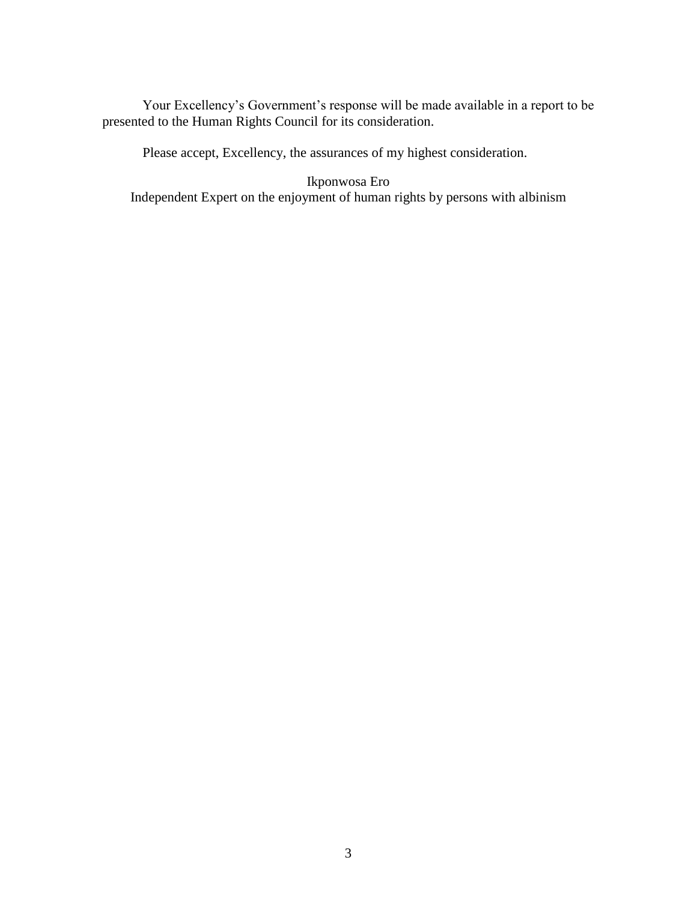Your Excellency's Government's response will be made available in a report to be presented to the Human Rights Council for its consideration.

Please accept, Excellency, the assurances of my highest consideration.

Ikponwosa Ero Independent Expert on the enjoyment of human rights by persons with albinism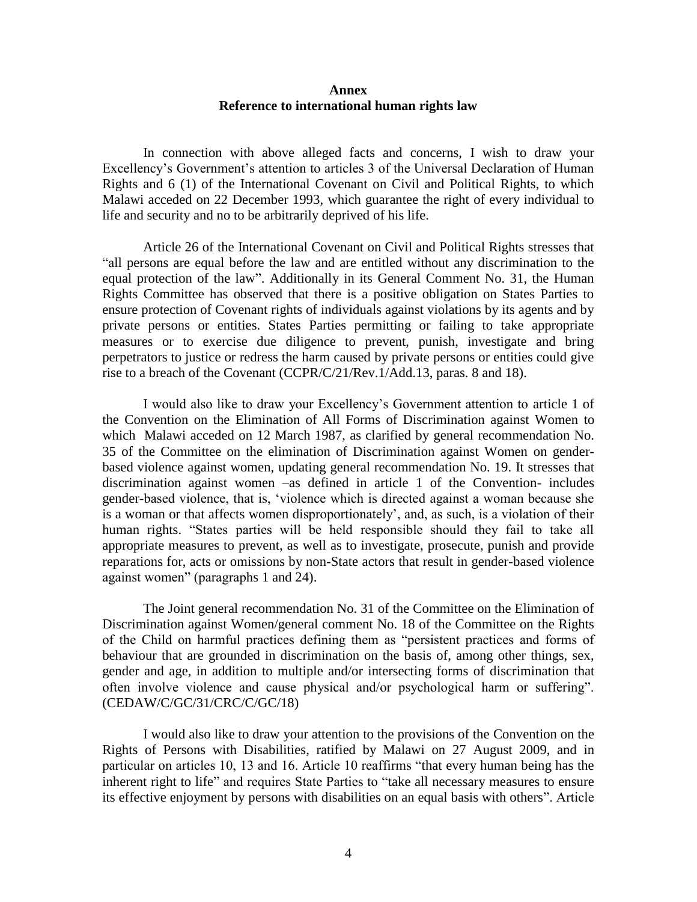## **Annex Reference to international human rights law**

In connection with above alleged facts and concerns, I wish to draw your Excellency's Government's attention to articles 3 of the Universal Declaration of Human Rights and 6 (1) of the International Covenant on Civil and Political Rights, to which Malawi acceded on 22 December 1993, which guarantee the right of every individual to life and security and no to be arbitrarily deprived of his life.

Article 26 of the International Covenant on Civil and Political Rights stresses that "all persons are equal before the law and are entitled without any discrimination to the equal protection of the law". Additionally in its General Comment No. 31, the Human Rights Committee has observed that there is a positive obligation on States Parties to ensure protection of Covenant rights of individuals against violations by its agents and by private persons or entities. States Parties permitting or failing to take appropriate measures or to exercise due diligence to prevent, punish, investigate and bring perpetrators to justice or redress the harm caused by private persons or entities could give rise to a breach of the Covenant (CCPR/C/21/Rev.1/Add.13, paras. 8 and 18).

I would also like to draw your Excellency's Government attention to article 1 of the Convention on the Elimination of All Forms of Discrimination against Women to which Malawi acceded on 12 March 1987, as clarified by general recommendation No. 35 of the Committee on the elimination of Discrimination against Women on genderbased violence against women, updating general recommendation No. 19. It stresses that discrimination against women –as defined in article 1 of the Convention- includes gender-based violence, that is, 'violence which is directed against a woman because she is a woman or that affects women disproportionately', and, as such, is a violation of their human rights. "States parties will be held responsible should they fail to take all appropriate measures to prevent, as well as to investigate, prosecute, punish and provide reparations for, acts or omissions by non-State actors that result in gender-based violence against women" (paragraphs 1 and 24).

The Joint general recommendation No. 31 of the Committee on the Elimination of Discrimination against Women/general comment No. 18 of the Committee on the Rights of the Child on harmful practices defining them as "persistent practices and forms of behaviour that are grounded in discrimination on the basis of, among other things, sex, gender and age, in addition to multiple and/or intersecting forms of discrimination that often involve violence and cause physical and/or psychological harm or suffering". (CEDAW/C/GC/31/CRC/C/GC/18)

I would also like to draw your attention to the provisions of the Convention on the Rights of Persons with Disabilities, ratified by Malawi on 27 August 2009, and in particular on articles 10, 13 and 16. Article 10 reaffirms "that every human being has the inherent right to life" and requires State Parties to "take all necessary measures to ensure its effective enjoyment by persons with disabilities on an equal basis with others". Article